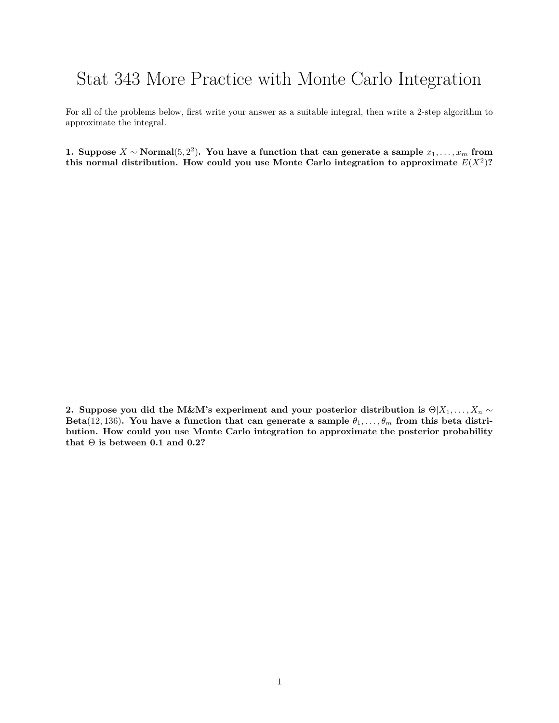## Stat 343 More Practice with Monte Carlo Integration

For all of the problems below, first write your answer as a suitable integral, then write a 2-step algorithm to approximate the integral.

**1.** Suppose  $X \sim \text{Normal}(5, 2^2)$ . You have a function that can generate a sample  $x_1, \ldots, x_m$  from this normal distribution. How could you use Monte Carlo integration to approximate  $E(X^2)$ ?

**2.** Suppose you did the M&M's experiment and your posterior distribution is  $\Theta | X_1, \ldots, X_n \sim$ Beta(12, 136)**.** You have a function that can generate a sample  $\theta_1, \ldots, \theta_m$  from this beta distri**bution. How could you use Monte Carlo integration to approximate the posterior probability** that  $\Theta$  is between 0.1 and 0.2?